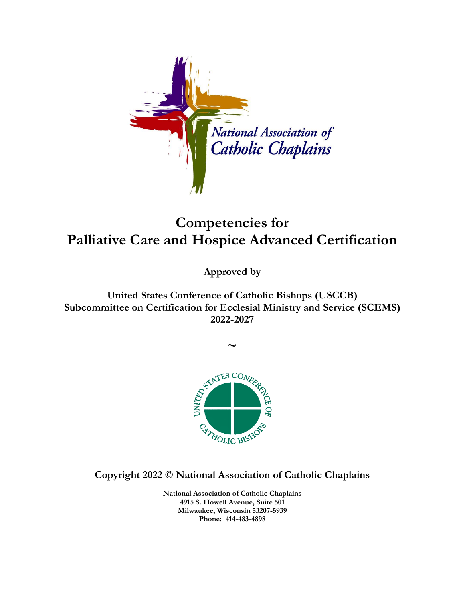

## **Competencies for Palliative Care and Hospice Advanced Certification**

**Approved by**

**United States Conference of Catholic Bishops (USCCB) Subcommittee on Certification for Ecclesial Ministry and Service (SCEMS) 2022-2027**



**Copyright 2022 © National Association of Catholic Chaplains**

**National Association of Catholic Chaplains 4915 S. Howell Avenue, Suite 501 Milwaukee, Wisconsin 53207-5939 Phone: 414-483-4898**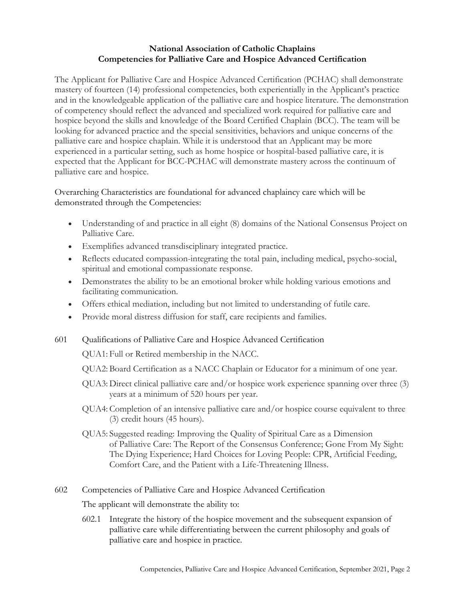## **National Association of Catholic Chaplains Competencies for Palliative Care and Hospice Advanced Certification**

The Applicant for Palliative Care and Hospice Advanced Certification (PCHAC) shall demonstrate mastery of fourteen (14) professional competencies, both experientially in the Applicant's practice and in the knowledgeable application of the palliative care and hospice literature. The demonstration of competency should reflect the advanced and specialized work required for palliative care and hospice beyond the skills and knowledge of the Board Certified Chaplain (BCC). The team will be looking for advanced practice and the special sensitivities, behaviors and unique concerns of the palliative care and hospice chaplain. While it is understood that an Applicant may be more experienced in a particular setting, such as home hospice or hospital-based palliative care, it is expected that the Applicant for BCC-PCHAC will demonstrate mastery across the continuum of palliative care and hospice.

Overarching Characteristics are foundational for advanced chaplaincy care which will be demonstrated through the Competencies:

- Understanding of and practice in all eight (8) domains of the National Consensus Project on Palliative Care.
- Exemplifies advanced transdisciplinary integrated practice.
- Reflects educated compassion-integrating the total pain, including medical, psycho-social, spiritual and emotional compassionate response.
- Demonstrates the ability to be an emotional broker while holding various emotions and facilitating communication.
- Offers ethical mediation, including but not limited to understanding of futile care.
- Provide moral distress diffusion for staff, care recipients and families.
- 601 Qualifications of Palliative Care and Hospice Advanced Certification

QUA1: Full or Retired membership in the NACC.

- QUA2: Board Certification as a NACC Chaplain or Educator for a minimum of one year.
- QUA3: Direct clinical palliative care and/or hospice work experience spanning over three (3) years at a minimum of 520 hours per year.
- QUA4:Completion of an intensive palliative care and/or hospice course equivalent to three (3) credit hours (45 hours).
- QUA5: Suggested reading: Improving the Quality of Spiritual Care as a Dimension of Palliative Care: The Report of the Consensus Conference; Gone From My Sight: The Dying Experience; Hard Choices for Loving People: CPR, Artificial Feeding, Comfort Care, and the Patient with a Life-Threatening Illness.

602 Competencies of Palliative Care and Hospice Advanced Certification

The applicant will demonstrate the ability to:

602.1 Integrate the history of the hospice movement and the subsequent expansion of palliative care while differentiating between the current philosophy and goals of palliative care and hospice in practice.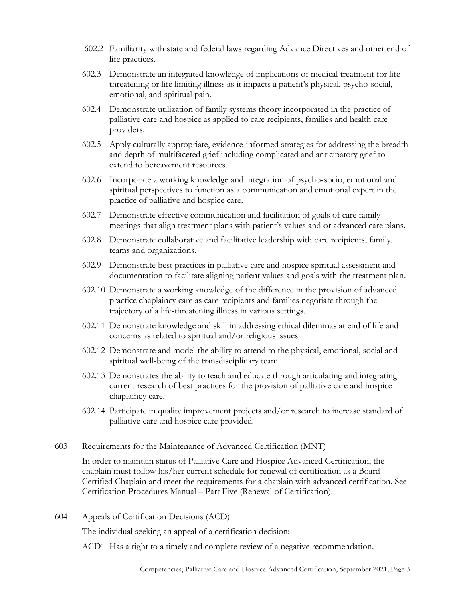- 602.2 Familiarity with state and federal laws regarding Advance Directives and other end of life practices.
- 602.3 Demonstrate an integrated knowledge of implications of medical treatment for lifethreatening or life limiting illness as it impacts a patient's physical, psycho-social, emotional, and spiritual pain.
- 602.4 Demonstrate utilization of family systems theory incorporated in the practice of palliative care and hospice as applied to care recipients, families and health care providers.
- 602.5 Apply culturally appropriate, evidence-informed strategies for addressing the breadth and depth of multifaceted grief including complicated and anticipatory grief to extend to bereavement resources.
- 602.6 Incorporate a working knowledge and integration of psycho-socio, emotional and spiritual perspectives to function as a communication and emotional expert in the practice of palliative and hospice care.
- 602.7 Demonstrate effective communication and facilitation of goals of care family meetings that align treatment plans with patient's values and or advanced care plans.
- 602.8 Demonstrate collaborative and facilitative leadership with care recipients, family, teams and organizations.
- 602.9 Demonstrate best practices in palliative care and hospice spiritual assessment and documentation to facilitate aligning patient values and goals with the treatment plan.
- 602.10 Demonstrate a working knowledge of the difference in the provision of advanced practice chaplaincy care as care recipients and families negotiate through the trajectory of a life-threatening illness in various settings.
- 602.11 Demonstrate knowledge and skill in addressing ethical dilemmas at end of life and concerns as related to spiritual and/or religious issues.
- 602.12 Demonstrate and model the ability to attend to the physical, emotional, social and spiritual well-being of the transdisciplinary team.
- 602.13 Demonstrates the ability to teach and educate through articulating and integrating current research of best practices for the provision of palliative care and hospice chaplaincy care.
- 602.14 Participate in quality improvement projects and/or research to increase standard of palliative care and hospice care provided.
- 603 Requirements for the Maintenance of Advanced Certification (MNT)

In order to maintain status of Palliative Care and Hospice Advanced Certification, the chaplain must follow his/her current schedule for renewal of certification as a Board Certified Chaplain and meet the requirements for a chaplain with advanced certification. See Certification Procedures Manual – Part Five (Renewal of Certification).

604 Appeals of Certification Decisions (ACD)

The individual seeking an appeal of a certification decision:

ACD1 Has a right to a timely and complete review of a negative recommendation.